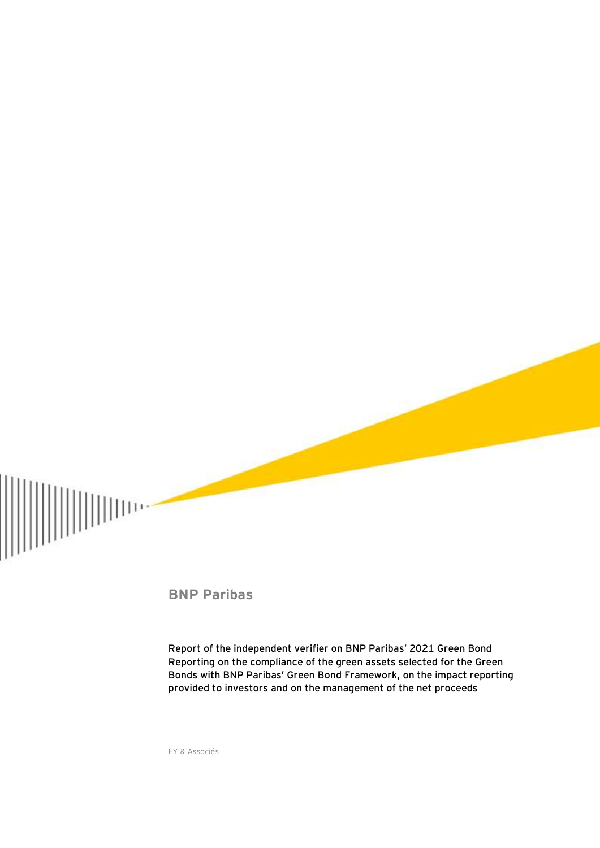

**BNP Paribas**

**Report of the independent verifier on BNP Paribas' 2021 Green Bond Reporting on the compliance of the green assets selected for the Green Bonds with BNP Paribas' Green Bond Framework, on the impact reporting provided to investors and on the management of the net proceeds**

EY & Associés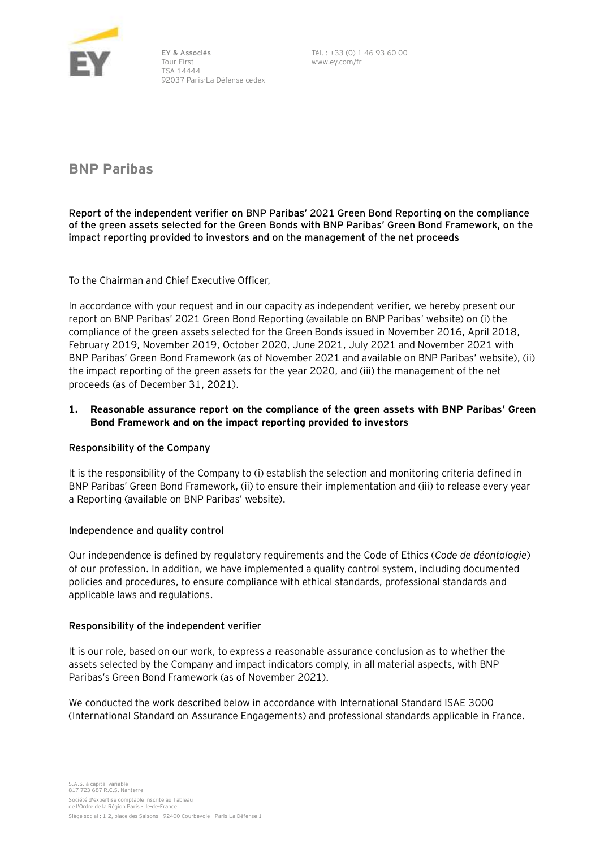

EY & Associés Tour First TSA 14444 92037 Paris-La Défense cedex Tél. : +33 (0) 1 46 93 60 00 www.ey.com/fr

**BNP Paribas**

**Report of the independent verifier on BNP Paribas' 2021 Green Bond Reporting on the compliance of the green assets selected for the Green Bonds with BNP Paribas' Green Bond Framework, on the impact reporting provided to investors and on the management of the net proceeds**

To the Chairman and Chief Executive Officer,

In accordance with your request and in our capacity as independent verifier, we hereby present our report on BNP Paribas' 2021 Green Bond Reporting (available on BNP Paribas' website) on (i) the compliance of the green assets selected for the Green Bonds issued in November 2016, April 2018, February 2019, November 2019, October 2020, June 2021, July 2021 and November 2021 with BNP Paribas' Green Bond Framework (as of November 2021 and available on BNP Paribas' website), (ii) the impact reporting of the green assets for the year 2020, and (iii) the management of the net proceeds (as of December 31, 2021).

# **1. Reasonable assurance report on the compliance of the green assets with BNP Paribas' Green Bond Framework and on the impact reporting provided to investors**

## **Responsibility of the Company**

It is the responsibility of the Company to (i) establish the selection and monitoring criteria defined in BNP Paribas' Green Bond Framework, (ii) to ensure their implementation and (iii) to release every year a Reporting (available on BNP Paribas' website).

## **Independence and quality control**

Our independence is defined by regulatory requirements and the Code of Ethics (*Code de déontologie*) of our profession. In addition, we have implemented a quality control system, including documented policies and procedures, to ensure compliance with ethical standards, professional standards and applicable laws and regulations.

## **Responsibility of the independent verifier**

It is our role, based on our work, to express a reasonable assurance conclusion as to whether the assets selected by the Company and impact indicators comply, in all material aspects, with BNP Paribas's Green Bond Framework (as of November 2021).

We conducted the work described below in accordance with International Standard ISAE 3000 (International Standard on Assurance Engagements) and professional standards applicable in France.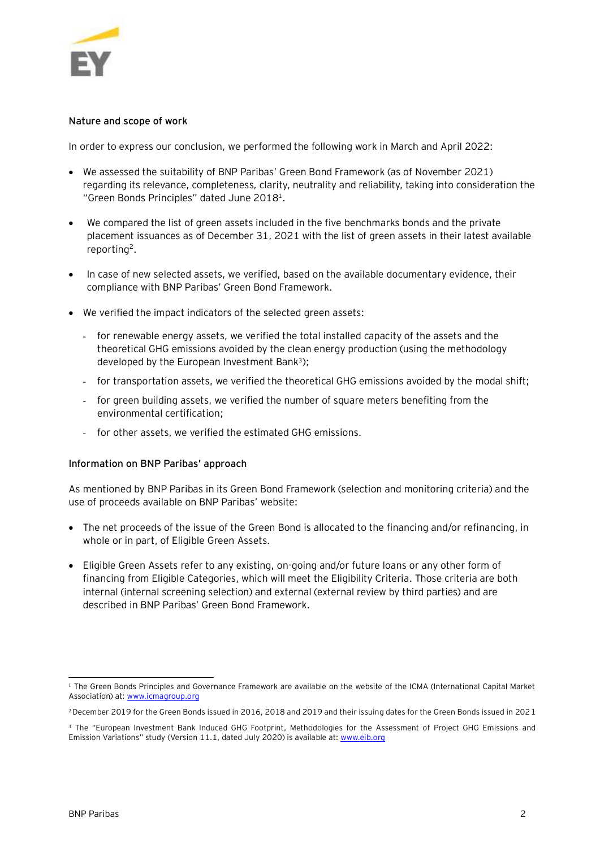

## **Nature and scope of work**

In order to express our conclusion, we performed the following work in March and April 2022:

- We assessed the suitability of BNP Paribas' Green Bond Framework (as of November 2021) regarding its relevance, completeness, clarity, neutrality and reliability, taking into consideration the "Green Bonds Principles" dated June 2018<sup>1</sup>.
- We compared the list of green assets included in the five benchmarks bonds and the private placement issuances as of December 31, 2021 with the list of green assets in their latest available reporting<sup>2</sup>.
- In case of new selected assets, we verified, based on the available documentary evidence, their compliance with BNP Paribas' Green Bond Framework.
- We verified the impact indicators of the selected green assets:
	- for renewable energy assets, we verified the total installed capacity of the assets and the theoretical GHG emissions avoided by the clean energy production (using the methodology developed by the European Investment Bank<sup>3</sup>);
	- for transportation assets, we verified the theoretical GHG emissions avoided by the modal shift;
	- for green building assets, we verified the number of square meters benefiting from the environmental certification;
	- for other assets, we verified the estimated GHG emissions.

## **Information on BNP Paribas' approach**

As mentioned by BNP Paribas in its Green Bond Framework (selection and monitoring criteria) and the use of proceeds available on BNP Paribas' website:

- The net proceeds of the issue of the Green Bond is allocated to the financing and/or refinancing, in whole or in part, of Eligible Green Assets.
- Eligible Green Assets refer to any existing, on-going and/or future loans or any other form of financing from Eligible Categories, which will meet the Eligibility Criteria. Those criteria are both internal (internal screening selection) and external (external review by third parties) and are described in BNP Paribas' Green Bond Framework.

l <sup>1</sup> The Green Bonds Principles and Governance Framework are available on the website of the ICMA (International Capital Market Association) at: [www.icmagroup.org](http://www.icmagroup.org/)

<sup>2</sup> December 2019 for the Green Bonds issued in 2016, 2018 and 2019 and their issuing dates for the Green Bonds issued in 2021

<sup>&</sup>lt;sup>3</sup> The "European Investment Bank Induced GHG Footprint, Methodologies for the Assessment of Project GHG Emissions and Emission Variations" study (Version 11.1, dated July 2020) is available at: www.eib.org